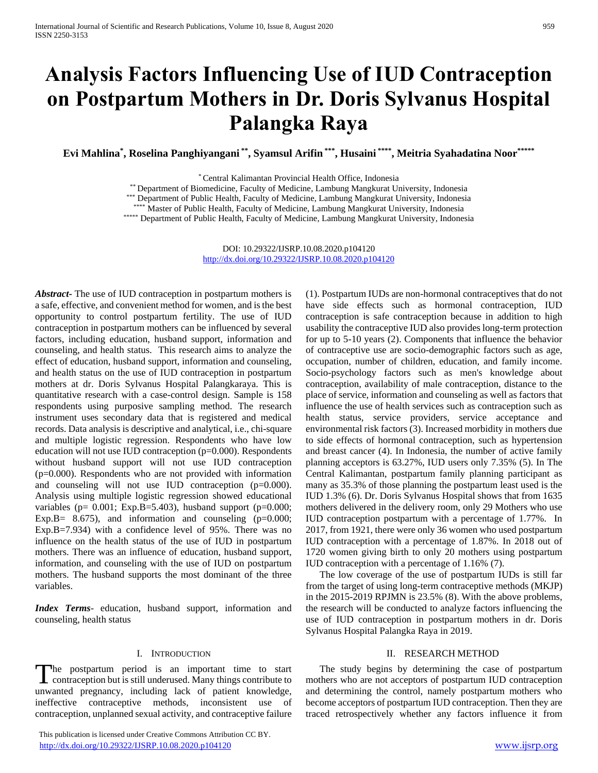# **Analysis Factors Influencing Use of IUD Contraception on Postpartum Mothers in Dr. Doris Sylvanus Hospital Palangka Raya**

**Evi Mahlina\* , Roselina Panghiyangani \*\* , Syamsul Arifin \*\*\* , Husaini \*\*\*\* , Meitria Syahadatina Noor\*\*\*\*\***

\* Central Kalimantan Provincial Health Office, Indonesia

\*\* Department of Biomedicine, Faculty of Medicine, Lambung Mangkurat University, Indonesia

\*\*\* Department of Public Health, Faculty of Medicine, Lambung Mangkurat University, Indonesia

\*\*\*\* Master of Public Health, Faculty of Medicine, Lambung Mangkurat University, Indonesia

\*\*\*\*\* Department of Public Health, Faculty of Medicine, Lambung Mangkurat University, Indonesia

DOI: 10.29322/IJSRP.10.08.2020.p104120 <http://dx.doi.org/10.29322/IJSRP.10.08.2020.p104120>

*Abstract***-** The use of IUD contraception in postpartum mothers is a safe, effective, and convenient method for women, and is the best opportunity to control postpartum fertility. The use of IUD contraception in postpartum mothers can be influenced by several factors, including education, husband support, information and counseling, and health status. This research aims to analyze the effect of education, husband support, information and counseling, and health status on the use of IUD contraception in postpartum mothers at dr. Doris Sylvanus Hospital Palangkaraya. This is quantitative research with a case-control design. Sample is 158 respondents using purposive sampling method. The research instrument uses secondary data that is registered and medical records. Data analysis is descriptive and analytical, i.e., chi-square and multiple logistic regression. Respondents who have low education will not use IUD contraception  $(p=0.000)$ . Respondents without husband support will not use IUD contraception  $(p=0.000)$ . Respondents who are not provided with information and counseling will not use IUD contraception (p=0.000). Analysis using multiple logistic regression showed educational variables ( $p= 0.001$ ; Exp.B=5.403), husband support ( $p=0.000$ ; Exp.B=  $8.675$ ), and information and counseling (p=0.000; Exp.B=7.934) with a confidence level of 95%. There was no influence on the health status of the use of IUD in postpartum mothers. There was an influence of education, husband support, information, and counseling with the use of IUD on postpartum mothers. The husband supports the most dominant of the three variables.

*Index Terms*- education, husband support, information and counseling, health status

# I. INTRODUCTION

he postpartum period is an important time to start The postpartum period is an important time to start<br>contraception but is still underused. Many things contribute to unwanted pregnancy, including lack of patient knowledge, ineffective contraceptive methods, inconsistent use of contraception, unplanned sexual activity, and contraceptive failure

 This publication is licensed under Creative Commons Attribution CC BY. <http://dx.doi.org/10.29322/IJSRP.10.08.2020.p104120> [www.ijsrp.org](http://ijsrp.org/)

(1). Postpartum IUDs are non-hormonal contraceptives that do not have side effects such as hormonal contraception, IUD contraception is safe contraception because in addition to high usability the contraceptive IUD also provides long-term protection for up to 5-10 years (2). Components that influence the behavior of contraceptive use are socio-demographic factors such as age, occupation, number of children, education, and family income. Socio-psychology factors such as men's knowledge about contraception, availability of male contraception, distance to the place of service, information and counseling as well as factors that influence the use of health services such as contraception such as health status, service providers, service acceptance and environmental risk factors (3). Increased morbidity in mothers due to side effects of hormonal contraception, such as hypertension and breast cancer (4). In Indonesia, the number of active family planning acceptors is 63.27%, IUD users only 7.35% (5). In The Central Kalimantan, postpartum family planning participant as many as 35.3% of those planning the postpartum least used is the IUD 1.3% (6). Dr. Doris Sylvanus Hospital shows that from 1635 mothers delivered in the delivery room, only 29 Mothers who use IUD contraception postpartum with a percentage of 1.77%. In 2017, from 1921, there were only 36 women who used postpartum IUD contraception with a percentage of 1.87%. In 2018 out of 1720 women giving birth to only 20 mothers using postpartum IUD contraception with a percentage of 1.16% (7).

The low coverage of the use of postpartum IUDs is still far from the target of using long-term contraceptive methods (MKJP) in the 2015-2019 RPJMN is 23.5% (8). With the above problems, the research will be conducted to analyze factors influencing the use of IUD contraception in postpartum mothers in dr. Doris Sylvanus Hospital Palangka Raya in 2019.

#### II. RESEARCH METHOD

The study begins by determining the case of postpartum mothers who are not acceptors of postpartum IUD contraception and determining the control, namely postpartum mothers who become acceptors of postpartum IUD contraception. Then they are traced retrospectively whether any factors influence it from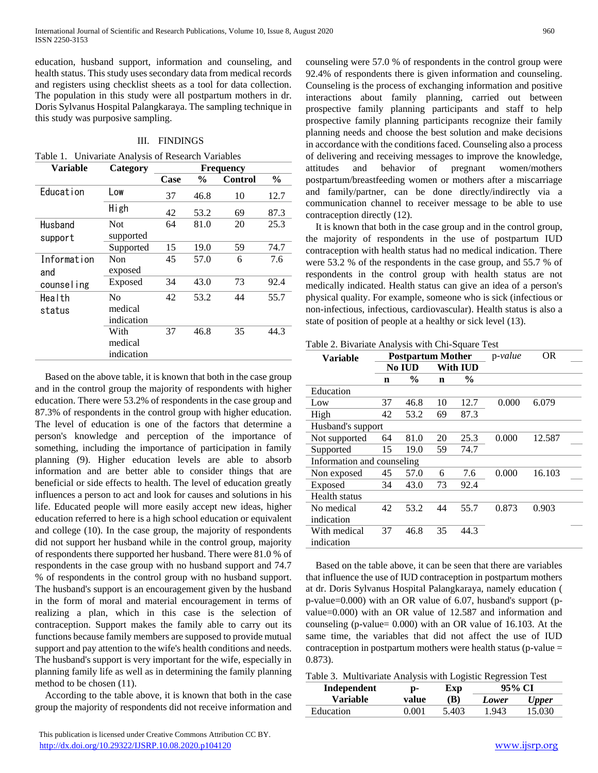education, husband support, information and counseling, and health status. This study uses secondary data from medical records and registers using checklist sheets as a tool for data collection. The population in this study were all postpartum mothers in dr. Doris Sylvanus Hospital Palangkaraya. The sampling technique in this study was purposive sampling.

# III. FINDINGS

Table 1. Univariate Analysis of Research Variables

| <b>Variable</b> | Category       | <b>Frequency</b> |               |                |               |
|-----------------|----------------|------------------|---------------|----------------|---------------|
|                 |                | Case             | $\frac{0}{0}$ | <b>Control</b> | $\frac{6}{9}$ |
| Education       | Low            | 37               | 46.8          | 10             | 12.7          |
|                 | High           | 42               | 53.2          | 69             | 87.3          |
| Husband         | <b>Not</b>     | 64               | 81.0          | 20             | 25.3          |
| support         | supported      |                  |               |                |               |
|                 | Supported      | 15               | 19.0          | 59             | 74.7          |
| Information     | Non            | 45               | 57.0          | 6              | 7.6           |
| and             | exposed        |                  |               |                |               |
| counseling      | Exposed        | 34               | 43.0          | 73             | 92.4          |
| Health          | N <sub>0</sub> | 42               | 53.2          | 44             | 55.7          |
| status          | medical        |                  |               |                |               |
|                 | indication     |                  |               |                |               |
|                 | With           | 37               | 46.8          | 35             | 44.3          |
|                 | medical        |                  |               |                |               |
|                 | indication     |                  |               |                |               |

Based on the above table, it is known that both in the case group and in the control group the majority of respondents with higher education. There were 53.2% of respondents in the case group and 87.3% of respondents in the control group with higher education. The level of education is one of the factors that determine a person's knowledge and perception of the importance of something, including the importance of participation in family planning (9). Higher education levels are able to absorb information and are better able to consider things that are beneficial or side effects to health. The level of education greatly influences a person to act and look for causes and solutions in his life. Educated people will more easily accept new ideas, higher education referred to here is a high school education or equivalent and college (10). In the case group, the majority of respondents did not support her husband while in the control group, majority of respondents there supported her husband. There were 81.0 % of respondents in the case group with no husband support and 74.7 % of respondents in the control group with no husband support. The husband's support is an encouragement given by the husband in the form of moral and material encouragement in terms of realizing a plan, which in this case is the selection of contraception. Support makes the family able to carry out its functions because family members are supposed to provide mutual support and pay attention to the wife's health conditions and needs. The husband's support is very important for the wife, especially in planning family life as well as in determining the family planning method to be chosen (11).

According to the table above, it is known that both in the case group the majority of respondents did not receive information and counseling were 57.0 % of respondents in the control group were 92.4% of respondents there is given information and counseling. Counseling is the process of exchanging information and positive interactions about family planning, carried out between prospective family planning participants and staff to help prospective family planning participants recognize their family planning needs and choose the best solution and make decisions in accordance with the conditions faced. Counseling also a process of delivering and receiving messages to improve the knowledge, attitudes and behavior of pregnant women/mothers postpartum/breastfeeding women or mothers after a miscarriage and family/partner, can be done directly/indirectly via a communication channel to receiver message to be able to use contraception directly (12).

It is known that both in the case group and in the control group, the majority of respondents in the use of postpartum IUD contraception with health status had no medical indication. There were 53.2 % of the respondents in the case group, and 55.7 % of respondents in the control group with health status are not medically indicated. Health status can give an idea of a person's physical quality. For example, someone who is sick (infectious or non-infectious, infectious, cardiovascular). Health status is also a state of position of people at a healthy or sick level (13).

Table 2. Bivariate Analysis with Chi-Square Test

| <b>Variable</b>            | <b>Postpartum Mother</b> |               |             | p-value       | OR.   |        |  |
|----------------------------|--------------------------|---------------|-------------|---------------|-------|--------|--|
|                            | No IUD                   |               | With IUD    |               |       |        |  |
|                            | $\mathbf n$              | $\frac{6}{9}$ | $\mathbf n$ | $\frac{6}{9}$ |       |        |  |
| Education                  |                          |               |             |               |       |        |  |
| Low                        | 37                       | 46.8          | 10          | 12.7          | 0.000 | 6.079  |  |
| High                       | 42                       | 53.2          | 69          | 87.3          |       |        |  |
| Husband's support          |                          |               |             |               |       |        |  |
| Not supported              | 64                       | 81.0          | 20          | 25.3          | 0.000 | 12.587 |  |
| Supported                  | 15                       | 19.0          | 59          | 74.7          |       |        |  |
| Information and counseling |                          |               |             |               |       |        |  |
| Non exposed                | 45                       | 57.0          | 6           | 7.6           | 0.000 | 16.103 |  |
| Exposed                    | 34                       | 43.0          | 73          | 92.4          |       |        |  |
| Health status              |                          |               |             |               |       |        |  |
| No medical                 | 42                       | 53.2          | 44          | 55.7          | 0.873 | 0.903  |  |
| indication                 |                          |               |             |               |       |        |  |
| With medical               | 37                       | 46.8          | 35          | 44.3          |       |        |  |
| indication                 |                          |               |             |               |       |        |  |

Based on the table above, it can be seen that there are variables that influence the use of IUD contraception in postpartum mothers at dr. Doris Sylvanus Hospital Palangkaraya, namely education ( p-value=0.000) with an OR value of 6.07, husband's support (pvalue=0.000) with an OR value of 12.587 and information and counseling (p-value= 0.000) with an OR value of 16.103. At the same time, the variables that did not affect the use of IUD contraception in postpartum mothers were health status (p-value = 0.873).

### Table 3. Multivariate Analysis with Logistic Regression Test

| Independent      | p-    | Exp   | 95% CI |              |  |
|------------------|-------|-------|--------|--------------|--|
| Variable         | value | (B)   | Lower  | <b>Upper</b> |  |
| <b>Education</b> | 0 001 | 5.403 | .943   | 15.030       |  |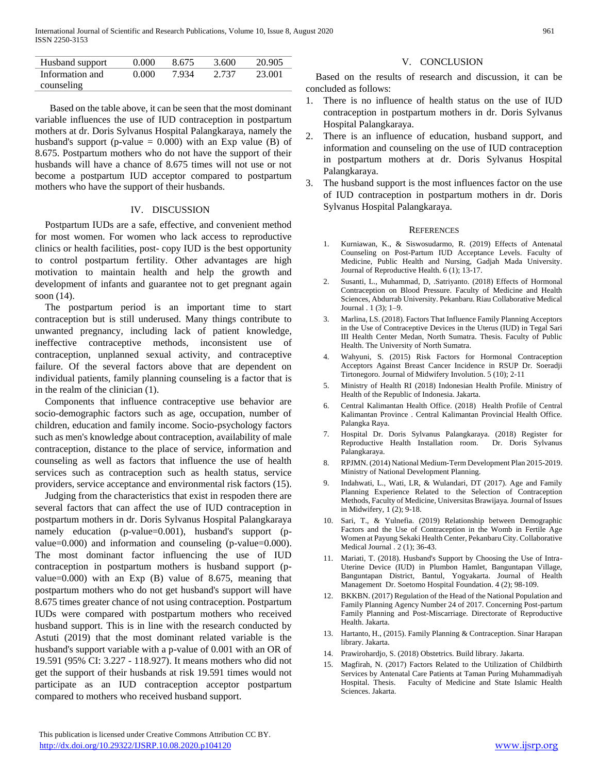International Journal of Scientific and Research Publications, Volume 10, Issue 8, August 2020 961 ISSN 2250-3153

| Husband support | 0.000 | 8.675 | 3.600 | 20.905 |
|-----------------|-------|-------|-------|--------|
| Information and | 0.000 | 7.934 | 2.737 | 23.001 |
| counseling      |       |       |       |        |

 Based on the table above, it can be seen that the most dominant variable influences the use of IUD contraception in postpartum mothers at dr. Doris Sylvanus Hospital Palangkaraya, namely the husband's support (p-value  $= 0.000$ ) with an Exp value (B) of 8.675. Postpartum mothers who do not have the support of their husbands will have a chance of 8.675 times will not use or not become a postpartum IUD acceptor compared to postpartum mothers who have the support of their husbands.

## IV. DISCUSSION

Postpartum IUDs are a safe, effective, and convenient method for most women. For women who lack access to reproductive clinics or health facilities, post- copy IUD is the best opportunity to control postpartum fertility. Other advantages are high motivation to maintain health and help the growth and development of infants and guarantee not to get pregnant again soon (14).

The postpartum period is an important time to start contraception but is still underused. Many things contribute to unwanted pregnancy, including lack of patient knowledge, ineffective contraceptive methods, inconsistent use of contraception, unplanned sexual activity, and contraceptive failure. Of the several factors above that are dependent on individual patients, family planning counseling is a factor that is in the realm of the clinician (1).

Components that influence contraceptive use behavior are socio-demographic factors such as age, occupation, number of children, education and family income. Socio-psychology factors such as men's knowledge about contraception, availability of male contraception, distance to the place of service, information and counseling as well as factors that influence the use of health services such as contraception such as health status, service providers, service acceptance and environmental risk factors (15).

Judging from the characteristics that exist in respoden there are several factors that can affect the use of IUD contraception in postpartum mothers in dr. Doris Sylvanus Hospital Palangkaraya namely education (p-value=0.001), husband's support (pvalue=0.000) and information and counseling (p-value=0.000). The most dominant factor influencing the use of IUD contraception in postpartum mothers is husband support (pvalue=0.000) with an Exp (B) value of 8.675, meaning that postpartum mothers who do not get husband's support will have 8.675 times greater chance of not using contraception. Postpartum IUDs were compared with postpartum mothers who received husband support. This is in line with the research conducted by Astuti (2019) that the most dominant related variable is the husband's support variable with a p-value of 0.001 with an OR of 19.591 (95% CI: 3.227 - 118.927). It means mothers who did not get the support of their husbands at risk 19.591 times would not participate as an IUD contraception acceptor postpartum compared to mothers who received husband support.

#### V. CONCLUSION

Based on the results of research and discussion, it can be concluded as follows:

- 1. There is no influence of health status on the use of IUD contraception in postpartum mothers in dr. Doris Sylvanus Hospital Palangkaraya.
- 2. There is an influence of education, husband support, and information and counseling on the use of IUD contraception in postpartum mothers at dr. Doris Sylvanus Hospital Palangkaraya.
- 3. The husband support is the most influences factor on the use of IUD contraception in postpartum mothers in dr. Doris Sylvanus Hospital Palangkaraya.

#### **REFERENCES**

- 1. Kurniawan, K., & Siswosudarmo, R. (2019) Effects of Antenatal Counseling on Post-Partum IUD Acceptance Levels. Faculty of Medicine, Public Health and Nursing, Gadjah Mada University. Journal of Reproductive Health. 6 (1); 13-17.
- 2. Susanti, L., Muhammad, D, .Satriyanto. (2018) Effects of Hormonal Contraception on Blood Pressure. Faculty of Medicine and Health Sciences, Abdurrab University. Pekanbaru. Riau Collaborative Medical Journal . 1 (3); 1–9.
- 3. Marlina, LS. (2018). Factors That Influence Family Planning Acceptors in the Use of Contraceptive Devices in the Uterus (IUD) in Tegal Sari III Health Center Medan, North Sumatra. Thesis. Faculty of Public Health. The University of North Sumatra.
- 4. Wahyuni, S. (2015) Risk Factors for Hormonal Contraception Acceptors Against Breast Cancer Incidence in RSUP Dr. Soeradji Tirtonegoro. Journal of Midwifery Involution. 5 (10); 2-11
- 5. Ministry of Health RI (2018) Indonesian Health Profile. Ministry of Health of the Republic of Indonesia. Jakarta.
- 6. Central Kalimantan Health Office. (2018) Health Profile of Central Kalimantan Province . Central Kalimantan Provincial Health Office. Palangka Raya.
- 7. Hospital Dr. Doris Sylvanus Palangkaraya. (2018) Register for Reproductive Health Installation room. Dr. Doris Sylvanus Palangkaraya.
- 8. RPJMN. (2014) National Medium-Term Development Plan 2015-2019. Ministry of National Development Planning.
- 9. Indahwati, L., Wati, LR, & Wulandari, DT (2017). Age and Family Planning Experience Related to the Selection of Contraception Methods, Faculty of Medicine, Universitas Brawijaya. Journal of Issues in Midwifery, 1 (2); 9-18.
- 10. Sari, T., & Yulnefia. (2019) Relationship between Demographic Factors and the Use of Contraception in the Womb in Fertile Age Women at Payung Sekaki Health Center, Pekanbaru City. Collaborative Medical Journal . 2 (1); 36-43.
- 11. Mariati, T. (2018). Husband's Support by Choosing the Use of Intra-Uterine Device (IUD) in Plumbon Hamlet, Banguntapan Village, Banguntapan District, Bantul, Yogyakarta. Journal of Health Management Dr. Soetomo Hospital Foundation. 4 (2); 98-109.
- 12. BKKBN. (2017) Regulation of the Head of the National Population and Family Planning Agency Number 24 of 2017. Concerning Post-partum Family Planning and Post-Miscarriage. Directorate of Reproductive Health. Jakarta.
- 13. Hartanto, H., (2015). Family Planning & Contraception. Sinar Harapan library. Jakarta.
- 14. Prawirohardjo, S. (2018) Obstetrics. Build library. Jakarta.
- 15. Magfirah, N. (2017) Factors Related to the Utilization of Childbirth Services by Antenatal Care Patients at Taman Puring Muhammadiyah Hospital. Thesis. Faculty of Medicine and State Islamic Health Sciences. Jakarta.